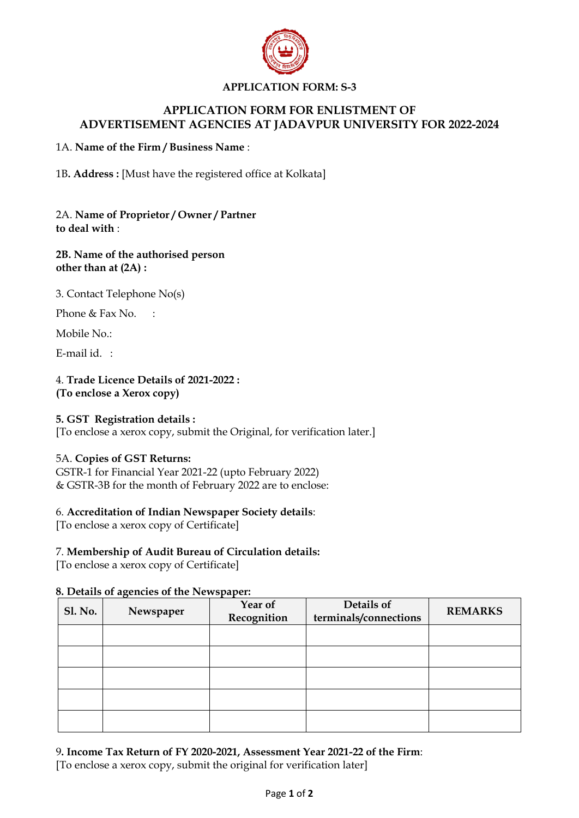

## **APPLICATION FORM: S-3**

## **APPLICATION FORM FOR ENLISTMENT OF ADVERTISEMENT AGENCIES AT JADAVPUR UNIVERSITY FOR 2022-2024**

#### 1A. **Name of the Firm / Business Name** :

1B**. Address :** [Must have the registered office at Kolkata]

2A. **Name of Proprietor / Owner / Partner to deal with** :

#### **2B. Name of the authorised person other than at (2A) :**

3. Contact Telephone No(s)

Phone & Fax No. :

Mobile No.:

E-mail id. :

#### 4. **Trade Licence Details of 2021-2022 : (To enclose a Xerox copy)**

## **5. GST Registration details :**

[To enclose a xerox copy, submit the Original, for verification later.]

#### 5A. **Copies of GST Returns:**

GSTR-1 for Financial Year 2021-22 (upto February 2022) & GSTR-3B for the month of February 2022 are to enclose:

## 6. **Accreditation of Indian Newspaper Society details**:

[To enclose a xerox copy of Certificate]

#### 7. **Membership of Audit Bureau of Circulation details:**

[To enclose a xerox copy of Certificate]

#### **8. Details of agencies of the Newspaper:**

| <b>Sl. No.</b> | Newspaper | Year of<br>Recognition | Details of<br>terminals/connections | <b>REMARKS</b> |
|----------------|-----------|------------------------|-------------------------------------|----------------|
|                |           |                        |                                     |                |
|                |           |                        |                                     |                |
|                |           |                        |                                     |                |
|                |           |                        |                                     |                |
|                |           |                        |                                     |                |

# 9**. Income Tax Return of FY 2020-2021, Assessment Year 2021-22 of the Firm**:

[To enclose a xerox copy, submit the original for verification later]